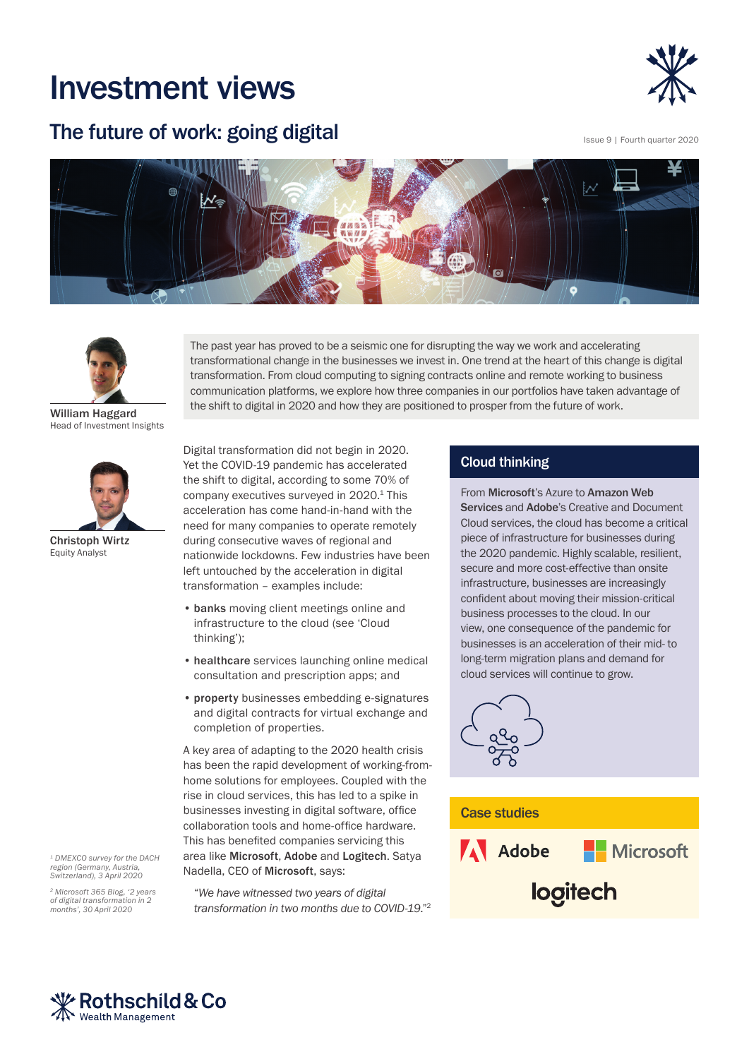# Investment views

# The future of work: going digital



Issue 9 | Fourth quarter 2020





William Haggard Head of Investment Insights



Christoph Wirtz Equity Analyst

*1 DMEXCO survey for the DACH region (Germany, Austria, Switzerland), 3 April 2020*

*[2 Microsoft 365 Blog, '2 years](https://www.microsoft.com/en-us/microsoft-365/blog/2020/04/30/2-years-digital-transformation-2-months/)  [of digital transformation in 2](https://www.microsoft.com/en-us/microsoft-365/blog/2020/04/30/2-years-digital-transformation-2-months/)  [months', 30 April 2020](https://www.microsoft.com/en-us/microsoft-365/blog/2020/04/30/2-years-digital-transformation-2-months/)*

The past year has proved to be a seismic one for disrupting the way we work and accelerating transformational change in the businesses we invest in. One trend at the heart of this change is digital transformation. From cloud computing to signing contracts online and remote working to business communication platforms, we explore how three companies in our portfolios have taken advantage of the shift to digital in 2020 and how they are positioned to prosper from the future of work.

Digital transformation did not begin in 2020. Yet the COVID-19 pandemic has accelerated the shift to digital, according to some 70% of company executives surveyed in 2020.<sup>1</sup> This acceleration has come hand-in-hand with the need for many companies to operate remotely during consecutive waves of regional and nationwide lockdowns. Few industries have been left untouched by the acceleration in digital transformation – examples include:

- banks moving client meetings online and infrastructure to the cloud (see 'Cloud thinking');
- healthcare services launching online medical consultation and prescription apps; and
- property businesses embedding e-signatures and digital contracts for virtual exchange and completion of properties.

A key area of adapting to the 2020 health crisis has been the rapid development of working-fromhome solutions for employees. Coupled with the rise in cloud services, this has led to a spike in businesses investing in digital software, office collaboration tools and home-office hardware. This has benefited companies servicing this area like Microsoft, Adobe and Logitech. Satya Nadella, CEO of Microsoft, says:

"*We have witnessed two years of digital transformation in two months due to COVID-19*."2

# Cloud thinking

From Microsoft's Azure to Amazon Web Services and Adobe's Creative and Document Cloud services, the cloud has become a critical piece of infrastructure for businesses during the 2020 pandemic. Highly scalable, resilient, secure and more cost-effective than onsite infrastructure, businesses are increasingly confident about moving their mission-critical business processes to the cloud. In our view, one consequence of the pandemic for businesses is an acceleration of their mid- to long-term migration plans and demand for cloud services will continue to grow.





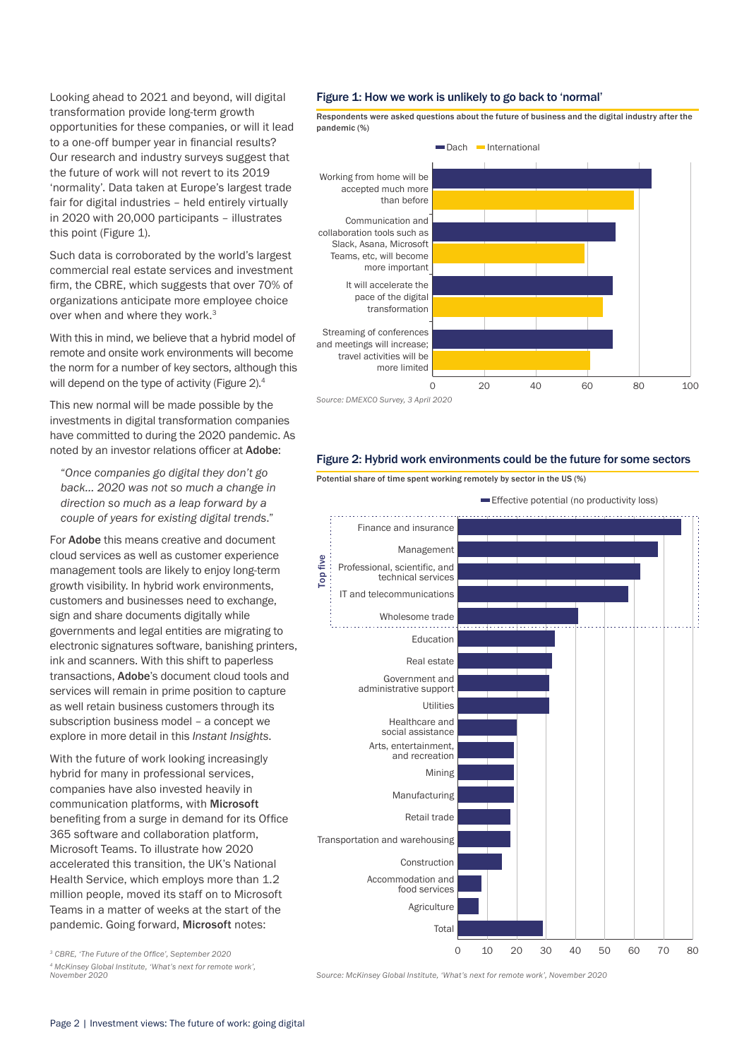Looking ahead to 2021 and beyond, will digital transformation provide long-term growth opportunities for these companies, or will it lead to a one-off bumper year in financial results? Our research and industry surveys suggest that the future of work will not revert to its 2019 'normality'. Data taken at Europe's largest trade fair for digital industries – held entirely virtually in 2020 with 20,000 participants – illustrates this point (Figure 1).

Such data is corroborated by the world's largest commercial real estate services and investment firm, the CBRE, which suggests that over 70% of organizations anticipate more employee choice over when and where they work.<sup>3</sup>

With this in mind, we believe that a hybrid model of remote and onsite work environments will become the norm for a number of key sectors, although this will depend on the type of activity (Figure 2).<sup>4</sup>

This new normal will be made possible by the investments in digital transformation companies have committed to during the 2020 pandemic. As noted by an investor relations officer at Adobe:

"*Once companies go digital they don't go back… 2020 was not so much a change in direction so much as a leap forward by a couple of years for existing digital trends*."

For Adobe this means creative and document cloud services as well as customer experience management tools are likely to enjoy long-term growth visibility. In hybrid work environments, customers and businesses need to exchange, sign and share documents digitally while governments and legal entities are migrating to electronic signatures software, banishing printers, ink and scanners. With this shift to paperless transactions, Adobe's document cloud tools and services will remain in prime position to capture as well retain business customers through its subscription business model – a concept we explore in more detail in this *[Instant Insights](https://www.rothschildandco.com/en/newsroom/insights/2020/06/instant-insights-subscribe-and-stay/)*.

With the future of work looking increasingly hybrid for many in professional services, companies have also invested heavily in communication platforms, with Microsoft benefiting from a surge in demand for its Office 365 software and collaboration platform, Microsoft Teams. To illustrate how 2020 accelerated this transition, the UK's National Health Service, which employs more than 1.2 million people, moved its staff on to Microsoft Teams in a matter of weeks at the start of the pandemic. Going forward, Microsoft notes:

*<sup>3</sup> CBRE, 'The Future of the Office', September 2020*

*4 McKinsey Global Institute, 'What's next for remote work', November 2020*

#### Figure 1: How we work is unlikely to go back to 'normal'

Respondents were asked questions about the future of business and the digital industry after the pandemic (%)





Potential share of time spent working remotely by sector in the US (%)



*Source: McKinsey Global Institute, 'What's next for remote work', November 2020*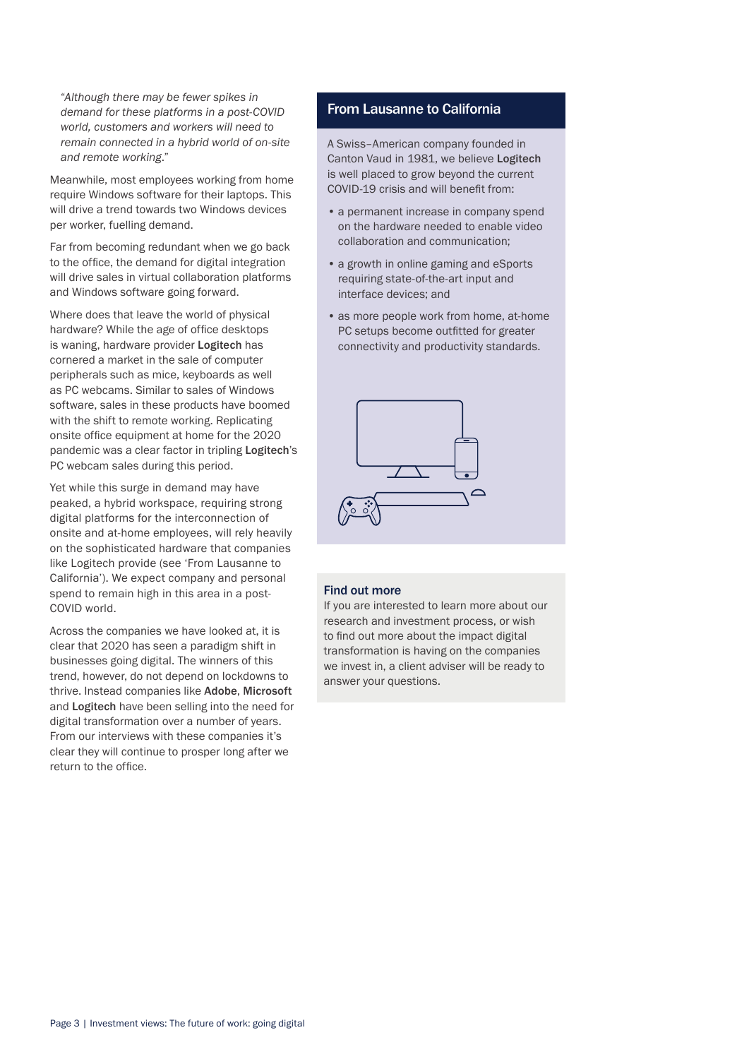"*Although there may be fewer spikes in demand for these platforms in a post-COVID world, customers and workers will need to remain connected in a hybrid world of on-site and remote working*."

Meanwhile, most employees working from home require Windows software for their laptops. This will drive a trend towards two Windows devices per worker, fuelling demand.

Far from becoming redundant when we go back to the office, the demand for digital integration will drive sales in virtual collaboration platforms and Windows software going forward.

Where does that leave the world of physical hardware? While the age of office desktops is waning, hardware provider Logitech has cornered a market in the sale of computer peripherals such as mice, keyboards as well as PC webcams. Similar to sales of Windows software, sales in these products have boomed with the shift to remote working. Replicating onsite office equipment at home for the 2020 pandemic was a clear factor in tripling Logitech's PC webcam sales during this period.

Yet while this surge in demand may have peaked, a hybrid workspace, requiring strong digital platforms for the interconnection of onsite and at-home employees, will rely heavily on the sophisticated hardware that companies like Logitech provide (see 'From Lausanne to California'). We expect company and personal spend to remain high in this area in a post-COVID world.

Across the companies we have looked at, it is clear that 2020 has seen a paradigm shift in businesses going digital. The winners of this trend, however, do not depend on lockdowns to thrive. Instead companies like Adobe, Microsoft and Logitech have been selling into the need for digital transformation over a number of years. From our interviews with these companies it's clear they will continue to prosper long after we return to the office.

# From Lausanne to California

A Swiss–American company founded in Canton Vaud in 1981, we believe Logitech is well placed to grow beyond the current COVID-19 crisis and will benefit from:

- a permanent increase in company spend on the hardware needed to enable video collaboration and communication;
- a growth in online gaming and eSports requiring state-of-the-art input and interface devices; and
- as more people work from home, at-home PC setups become outfitted for greater connectivity and productivity standards.



### Find out more

If you are interested to learn more about our research and investment process, or wish to find out more about the impact digital transformation is having on the companies we invest in, a client adviser will be ready to answer your questions.